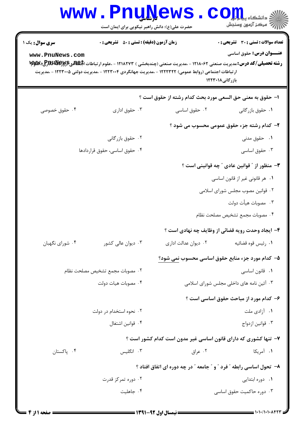## **www.PnuNews.com** اسڪز آزمون وسنڊش حضرت علی(ع): دانش راهبر نیکویی برای ایمان است **تعداد سوالات : تستی : 30 ٪ تشریحی : 0 سری سوال :** یک ۱ **زمان آزمون (دقیقه) : تستی : 50 تشریحی : 0 عنـــوان درس:** حقوق اساسي www.PnuNews.com رشته تحصیلی/کد درس: مدیریت صنعتی ۱۲۱۸۰۶۲ - ،مدیریت صنعتی (چندبخشی ) ۱۲۱۸۲۷۳ - ،علوم ارتباطات الجهالقی گرلایالیالایالایا ارتباطات اجتماعی (روابط عمومی) ۱۲۲۲۳۲۲ - ،مدیریت جهانگردی ۱۲۲۳۰۰۴ - ،مدیریت دولتی ۱۲۲۳۰۰۵ - ،مدیریت بازرگانی ۱۲۲۳۰۱۸ ا– حقوق به معنى حق السعى مورد بحث كدام رشته از حقوق است ؟ ۰۲ حقوق اساسی ۰۴ حقوق خصوصی ۰۳ حقوق اداری ۰۱ حقوق بازر گانی ۲- کدام رشته جزء حقوق عمومی محسوب می شود ؟ ۰۲ حقوق بازر گانی **۱.** حقوق مدنی ۰۴ حقوق اساسی، حقوق قراردادها ۰۳ حقوق اساسی **۳**– منظور از ″ قوانین عادی ″ چه قوانینی است ؟ ٠١. هر قانوني غير از قانون اساسي ۰۲ قوانین مصوب مجلس شورای اسلامی

- ۰۳ مصوبات هیأت دولت
- ۴. مصوبات مجمع تشخيص مصلحت نظام
- ۴- ایجاد وحدت رویه قضائی از وظایف چه نهادی است ؟
- ۰۴ شورای نگهبان ۰۳ دیوان عالی کشور ۰۲ دیوان عدالت اداری ٠١. رئيس قوه قضائيه

۰۴ مصوبات هيات دولت

- ۵– کدام مورد جزء منابع حقوق اساسی محسوب نمی شود؟
- ٢. مصوبات مجمع تشخيص مصلحت نظام ٠١. قانون اساسى
	- ۰۳ آئین نامه های داخلی مجلس شورای اسلامی
		- ۶- کدام مورد از مباحث حقوق اساسی است ؟
	- ۰۲ نحوه استخدام در دولت ۰۱ آزادی ملت ۰۴ قوانین اشتغال ۰۳ قوانین ازدواج
		- ۷– تنها کشوری که دارای قانون اساسی غیر مدون است کدام کشور است ؟
- ۰۴ یاکستان ۴. انگلیس ۰۲ عراق ۰۱ آمریکا
	- ۸– تحول اساسی رابطه " فرد " و " جامعه " در چه دوره ای اتفاق افتاد ؟
	- ۰۲ دوره تمرکز قدرت ۰۱ دوره ابتدایی ۰۴ حاهلت ۰۳ دوره حاکمیت حقوق اساسی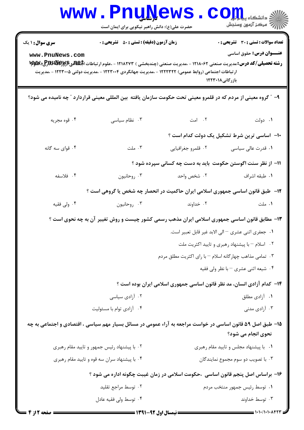|                        | <b>www.PnuNews</b><br>حضرت علی(ع): دانش راهبر نیکویی برای ایمان است                                                                                                                                                                |                                                                         | $\mathbf{C}\mathbf{O}\mathbf{H}$ و دانشگاه پ<br>رآ مرکز آزمون وسنجش |
|------------------------|------------------------------------------------------------------------------------------------------------------------------------------------------------------------------------------------------------------------------------|-------------------------------------------------------------------------|---------------------------------------------------------------------|
| <b>سری سوال : ۱ یک</b> | زمان آزمون (دقیقه) : تستی : 50 ٪ تشریحی : 0                                                                                                                                                                                        |                                                                         | <b>تعداد سوالات : تستي : 30 ٪ تشريحي : 0</b>                        |
| www.PnuNews.com        | <b>رشته تحصیلی/کد درس:</b> مدیریت صنعتی ۱۲۱۸۰۶۲ - ،مدیریت صنعتی (چندبخشی ) ۱۲۱۸۲۷۳ - ،علوم ارتباطات الجهاهی۷وگرSBUW ایکاپا<br>ار تباطات اجتماعی (روابط عمومی) ۱۲۲۲۳۲۲ - ،مدیریت جهانگردی ۱۲۲۳۰۰۴ - ،مدیریت دولتی ۱۲۲۳۰۰۵ - ،مدیریت |                                                                         | <b>عنـــوان درس:</b> حقوق اساسی<br>بازرگانی۱۲۲۳۰۱۸                  |
|                        | ۹– ″ گروه معینی از مردم که در قلمرو معینی تحت حکومت سازمان یافته بین المللی معینی قراردارد ″ چه نامیده می شود؟                                                                                                                     |                                                                         |                                                                     |
| ۰۴ قوه مجريه           | ۰۳ نظام سیاسی                                                                                                                                                                                                                      | ۰ <b>۱</b> دولت میست که امت                                             |                                                                     |
|                        |                                                                                                                                                                                                                                    |                                                                         | ۱۰– اساسی ترین شرط تشکیل یک دولت کدام است ؟                         |
| ۰۴ قوای سه گانه        | $-L_{o}$ . ٣                                                                                                                                                                                                                       | ۰۲ قلمرو جغرافیایی                                                      | ۰۱ قدرت عال <sub>ی</sub> سیاسی                                      |
|                        |                                                                                                                                                                                                                                    | 1۱– از نظر سنت اگوستن حکومت باید به دست چه کسانی سپرده شود ؟            |                                                                     |
| ۰۴ فلاسفه              | ۰۳ روحانيون                                                                                                                                                                                                                        | ۰۲ شخص واحد                                                             | ٠١ طبقه اشراف                                                       |
|                        | ۱۲- ً طبق قانون اساسی جمهوری اسلامی ایران حاکمیت در انحصار چه شخص یا گروهی است ؟                                                                                                                                                   |                                                                         |                                                                     |
| ۰۴ ولی فقیه            | ۰۳ روحانیون                                                                                                                                                                                                                        | ۰۲ خداوند                                                               | ۰۱ ملت                                                              |
|                        | ۱۳- مطابق قانون اساسی جمهوری اسلامی ایران مذهب رسمی کشور چیست و روش تغییر آن به چه نحوی است ؟                                                                                                                                      |                                                                         |                                                                     |
|                        |                                                                                                                                                                                                                                    |                                                                         | ٠١ جعفري اثني عشري – الى الابد غير قابل تعبير است.                  |
|                        |                                                                                                                                                                                                                                    |                                                                         | ۰۲ اسلام - با پیشنهاد رهبری و تایید اکثریت ملت                      |
|                        |                                                                                                                                                                                                                                    | ۰۳ تمامی مذاهب چهارگانه اسلام <sup>—</sup> با رای اکثریت مطلق مردم      |                                                                     |
|                        |                                                                                                                                                                                                                                    |                                                                         | ۰۴ شیعه اثنی عشری - با نظر ولی فقیه                                 |
|                        |                                                                                                                                                                                                                                    | ۱۴- کدام آزادی انسان، مد نظر قانون اساسی جمهوری اسلامی ایران بوده است ؟ |                                                                     |
|                        | ۰۲ آزادی سیاسی                                                                                                                                                                                                                     |                                                                         | ۰۱ آزادی مطلق                                                       |
|                        | ۰۴ آزادي توام با مسئوليت                                                                                                                                                                                                           |                                                                         | ۰۳ آزادی مدنی                                                       |
|                        | ۱۵– طبق اصل ۵۹ قانون اساسی در خواست مراجعه به آراء عمومی در مسائل بسیار مهم سیاسی ، اقتصادی و اجتماعی به چه                                                                                                                        |                                                                         | نحوی انجام می شود؟                                                  |
|                        | ۰۲ با پیشنهاد رئیس جمهور و تایید مقام رهبری                                                                                                                                                                                        |                                                                         | ۰۱ با پیشنهاد مجلس و تایید مقام رهبری                               |
|                        | ۰۴ با پیشنهاد سران سه قوه و تایید مقام رهبری                                                                                                                                                                                       |                                                                         | ۰۳ با تصویب دو سوم مجموع نمایندگان                                  |
|                        | ۱۶– براساس اصل پنجم قانون اساسی  ،حکومت اسلامی در زمان غیبت چگونه اداره می شود ؟                                                                                                                                                   |                                                                         |                                                                     |
|                        | ۰۲ توسط مراجع تقليد                                                                                                                                                                                                                |                                                                         | ۰۱ توسط رئيس جمهور منتخب مردم                                       |
|                        | ۰۴ توسط ولی فقیه عادل                                                                                                                                                                                                              |                                                                         | ۰۳ توسط خداوند                                                      |
| صفحه 2 از 6            |                                                                                                                                                                                                                                    |                                                                         |                                                                     |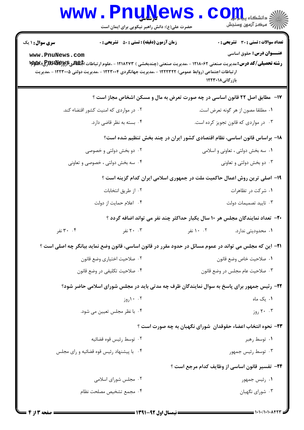|                                           | <b>www.PnuNews</b><br>حضرت علی(ع): دانش راهبر نیکویی برای ایمان است                                                                                        | الا دانشڪاء پيام ہو<br>اڳ مرڪز آزمون وسنڊش                                                                                                                                                                                         |  |
|-------------------------------------------|------------------------------------------------------------------------------------------------------------------------------------------------------------|------------------------------------------------------------------------------------------------------------------------------------------------------------------------------------------------------------------------------------|--|
| <b>سری سوال : ۱ یک</b><br>www.PnuNews.com | <b>زمان آزمون (دقیقه) : تستی : 50 ٪ تشریحی : 0</b><br>ار تباطات اجتماعی (روابط عمومی) ۱۲۲۲۳۲۲ - ،مدیریت جهانگردی ۱۲۲۳۰۰۴ - ،مدیریت دولتی ۱۲۲۳۰۰۵ - ،مدیریت | <b>تعداد سوالات : تستی : 30 ٪ تشریحی : 0</b><br><b>عنـــوان درس:</b> حقوق اساسی<br><b>رشته تحصیلی/کد درس:</b> مدیریت صنعتی ۱۲۱۸۰۶۲ - ،مدیریت صنعتی (چندبخشی ) ۱۲۱۸۲۷۳ - ،علوم ارتباطات ا <b>بگهانی%W</b> y پیلا<br>بازرگانی۱۲۲۳۰۱۸ |  |
|                                           |                                                                                                                                                            | <b>۱۷</b> -   مطابق اصل ۲۲ قانون اساسی در چه صورت تعرض به مال و مسکن اشخاص مجاز است ؟                                                                                                                                              |  |
|                                           | ۰۲ در مواردی که امنیت کشور اقتضاء کند.                                                                                                                     | ٠١ مطلقا مصون از هر گونه تعرض است.                                                                                                                                                                                                 |  |
|                                           | ۰۴ بسته به نظر قاضی دارد.                                                                                                                                  | ۰۳ در مواردی که قانون تجویز کرده است.                                                                                                                                                                                              |  |
|                                           |                                                                                                                                                            | ۱۸– براساس قانون اساسی، نظام اقتصادی کشور ایران در چند بخش تنظیم شده است؟                                                                                                                                                          |  |
|                                           | ۰۲ دو بخش دولتی و خصوصی                                                                                                                                    | ۰۱ سه بخش دولتی ، تعاونی و اسلامی                                                                                                                                                                                                  |  |
|                                           | ۰۴ سه بخش دولتی ، خصوصی و تعاونی                                                                                                                           | ۰۳ دو بخش دولتی و تعاونی                                                                                                                                                                                                           |  |
|                                           |                                                                                                                                                            | ۱۹– اصلی ترین روش اعمال حاکمیت ملت در جمهوری اسلامی ایران کدام گزینه است ؟                                                                                                                                                         |  |
|                                           | ۰۲ از طریق انتخابات                                                                                                                                        | ۰۱ شرکت در تظاهرات                                                                                                                                                                                                                 |  |
|                                           | ۰۴ اعلام حمايت از دولت                                                                                                                                     | ۰۳ تاييد تصميمات دولت                                                                                                                                                                                                              |  |
|                                           |                                                                                                                                                            | ۲۰- تعداد نمایندگان مجلس هر ۱۰ سال یکبار حداکثر چند نفر می تواند اضافه گردد ؟                                                                                                                                                      |  |
| ۰۴ نفر                                    | ۲۰ ۲۰ نفر                                                                                                                                                  | ۰۱ محدودیتی ندارد.<br>۰۰ ۱۰ نفر                                                                                                                                                                                                    |  |
|                                           |                                                                                                                                                            | ۲۱– این که مجلس می تواند در عموم مسائل در حدود مقرر در قانون اساسی، قانون وضع نماید بیانگر چه اصلی است ؟                                                                                                                           |  |
|                                           | ٠٢ صلاحيت اختياري وضع قانون                                                                                                                                | ٠١. صلاحيت خاص وضع قانون                                                                                                                                                                                                           |  |
|                                           | ۰۴ صلاحیت تکلیفی در وضع قانون                                                                                                                              | ٠٣ صلاحيت عام مجلس در وضع قانون                                                                                                                                                                                                    |  |
|                                           |                                                                                                                                                            | ۲۲- رئیس جمهور برای پاسخ به سوال نمایندگان ظرف چه مدتی باید در مجلس شورای اسلامی حاضر شود؟                                                                                                                                         |  |
|                                           | ۰۰ ۱۰روز                                                                                                                                                   | ۰۱ یک ماه                                                                                                                                                                                                                          |  |
|                                           | ۰۴ با نظر مجلس تعیین می شود.                                                                                                                               | ۰۰ ۲۰ روز                                                                                                                                                                                                                          |  |
|                                           |                                                                                                                                                            | ۲۳– نحوه انتخاب اعضاء حقوقدان  شورای نگهبان به چه صورت است ؟                                                                                                                                                                       |  |
|                                           | ۰۲ توسط رئيس قوه قضائيه                                                                                                                                    | ۰۱ توسط رهبر                                                                                                                                                                                                                       |  |
|                                           | ۰۴ با پیشنهاد رئیس قوه قضائیه و رای مجلس                                                                                                                   | ۰۳ توسط رئيس جمهور                                                                                                                                                                                                                 |  |
|                                           |                                                                                                                                                            | ٢۴- تفسير قانون اساسي از وظايف كدام مرجع است ؟                                                                                                                                                                                     |  |
|                                           | ۰۲ مجلس شورای اسلامی                                                                                                                                       | ۰۱ رئیس جمهور                                                                                                                                                                                                                      |  |
|                                           | ۰۴ مجمع تشخيص مصلحت نظام                                                                                                                                   | ۰۳ شورای نگهبان                                                                                                                                                                                                                    |  |
|                                           |                                                                                                                                                            |                                                                                                                                                                                                                                    |  |